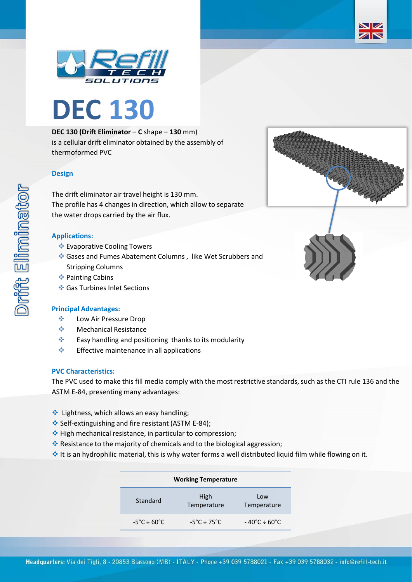



## **DEC 130 (Drift Eliminator** – **C** shape – **130** mm)

is a cellular drift eliminator obtained by the assembly of thermoformed PVC

# **Design**

The drift eliminator air travel height is 130 mm. The profile has 4 changes in direction, which allow to separate the water drops carried by the air flux.

### **Applications:**

- ❖ Evaporative Cooling Towers
- ❖ Gases and Fumes Abatement Columns , like Wet Scrubbers and Stripping Columns
- ❖ Painting Cabins
- ❖ Gas Turbines Inlet Sections

### **Principal Advantages:**

- ❖ Low Air Pressure Drop
- ❖ Mechanical Resistance
- ❖ Easy handling and positioning thanks to its modularity
- ❖ Effective maintenance in all applications

### **PVC Characteristics:**

The PVC used to make this fill media comply with the most restrictive standards, such as the CTI rule 136 and the ASTM E-84, presenting many advantages:

- ❖ Lightness, which allows an easy handling;
- ❖ Self-extinguishing and fire resistant (ASTM E-84);
- ❖ High mechanical resistance, in particular to compression;
- ❖ Resistance to the majority of chemicals and to the biological aggression;
- ❖ It is an hydrophilic material, this is why water forms a well distributed liquid film while flowing on it.

| <b>Working Temperature</b>       |                                  |                                        |  |  |
|----------------------------------|----------------------------------|----------------------------------------|--|--|
| Standard                         | High<br>Temperature              | Low<br>Temperature                     |  |  |
| $-5^{\circ}$ C ÷ 60 $^{\circ}$ C | $-5^{\circ}$ C ÷ 75 $^{\circ}$ C | $-40^{\circ}$ C $\div$ 60 $^{\circ}$ C |  |  |



ZK